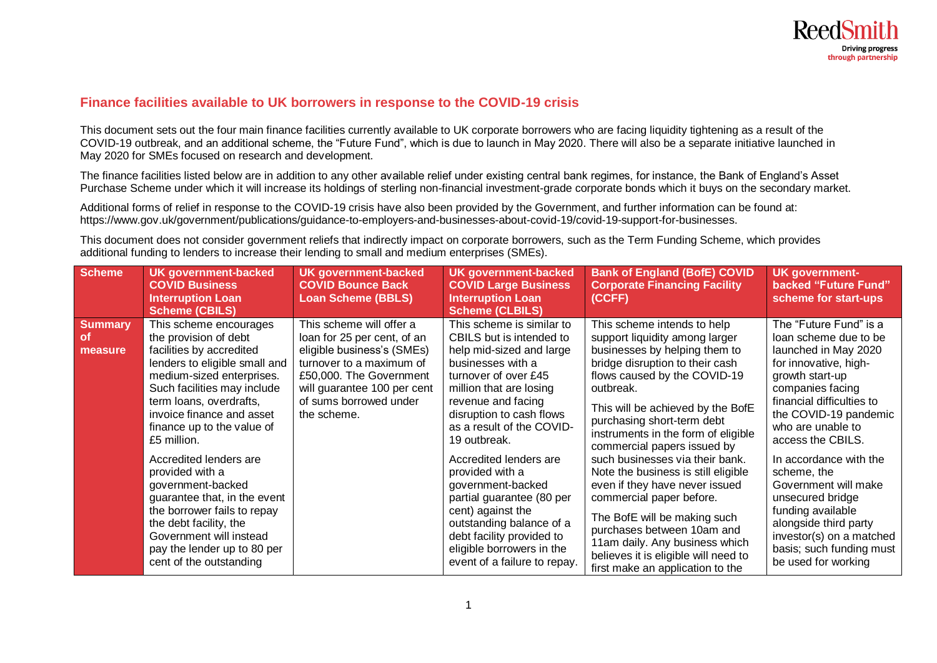

## **Finance facilities available to UK borrowers in response to the COVID-19 crisis**

This document sets out the four main finance facilities currently available to UK corporate borrowers who are facing liquidity tightening as a result of the COVID-19 outbreak, and an additional scheme, the "Future Fund", which is due to launch in May 2020. There will also be a separate initiative launched in May 2020 for SMEs focused on research and development.

The finance facilities listed below are in addition to any other available relief under existing central bank regimes, for instance, the Bank of England's Asset Purchase Scheme under which it will increase its holdings of sterling non-financial investment-grade corporate bonds which it buys on the secondary market.

Additional forms of relief in response to the COVID-19 crisis have also been provided by the Government, and further information can be found at: [https://www.gov.uk/government/publications/guidance-to-employers-and-businesses-about-covid-19/covid-19-support-for-businesses.](https://www.gov.uk/government/publications/guidance-to-employers-and-businesses-about-covid-19/covid-19-support-for-businesses)

This document does not consider government reliefs that indirectly impact on corporate borrowers, such as the Term Funding Scheme, which provides additional funding to lenders to increase their lending to small and medium enterprises (SMEs).

| <b>Scheme</b>                          | <b>UK government-backed</b><br><b>COVID Business</b><br><b>Interruption Loan</b><br>Scheme (CBILS)                                                                                                                                                                                                                                                                                                                                                                                                                            | <b>UK government-backed</b><br><b>COVID Bounce Back</b><br><b>Loan Scheme (BBLS)</b>                                                                                                                                 | <b>UK government-backed</b><br><b>COVID Large Business</b><br><b>Interruption Loan</b><br><b>Scheme (CLBILS)</b>                                                                                                                                                                                                                                                                                                                                                                                   | <b>Bank of England (BofE) COVID</b><br><b>Corporate Financing Facility</b><br>(CCFF)                                                                                                                                                                                                                                                                                                                                                                                                                                                                                                                                                        | <b>UK government-</b><br>backed "Future Fund"<br>scheme for start-ups                                                                                                                                                                                                                                                                                                                                                                                     |
|----------------------------------------|-------------------------------------------------------------------------------------------------------------------------------------------------------------------------------------------------------------------------------------------------------------------------------------------------------------------------------------------------------------------------------------------------------------------------------------------------------------------------------------------------------------------------------|----------------------------------------------------------------------------------------------------------------------------------------------------------------------------------------------------------------------|----------------------------------------------------------------------------------------------------------------------------------------------------------------------------------------------------------------------------------------------------------------------------------------------------------------------------------------------------------------------------------------------------------------------------------------------------------------------------------------------------|---------------------------------------------------------------------------------------------------------------------------------------------------------------------------------------------------------------------------------------------------------------------------------------------------------------------------------------------------------------------------------------------------------------------------------------------------------------------------------------------------------------------------------------------------------------------------------------------------------------------------------------------|-----------------------------------------------------------------------------------------------------------------------------------------------------------------------------------------------------------------------------------------------------------------------------------------------------------------------------------------------------------------------------------------------------------------------------------------------------------|
| <b>Summary</b><br><b>of</b><br>measure | This scheme encourages<br>the provision of debt<br>facilities by accredited<br>lenders to eligible small and<br>medium-sized enterprises.<br>Such facilities may include<br>term loans, overdrafts,<br>invoice finance and asset<br>finance up to the value of<br>£5 million.<br>Accredited lenders are<br>provided with a<br>government-backed<br>guarantee that, in the event<br>the borrower fails to repay<br>the debt facility, the<br>Government will instead<br>pay the lender up to 80 per<br>cent of the outstanding | This scheme will offer a<br>loan for 25 per cent, of an<br>eligible business's (SMEs)<br>turnover to a maximum of<br>£50,000. The Government<br>will guarantee 100 per cent<br>of sums borrowed under<br>the scheme. | This scheme is similar to<br>CBILS but is intended to<br>help mid-sized and large<br>businesses with a<br>turnover of over £45<br>million that are losing<br>revenue and facing<br>disruption to cash flows<br>as a result of the COVID-<br>19 outbreak.<br>Accredited lenders are<br>provided with a<br>government-backed<br>partial guarantee (80 per<br>cent) against the<br>outstanding balance of a<br>debt facility provided to<br>eligible borrowers in the<br>event of a failure to repay. | This scheme intends to help<br>support liquidity among larger<br>businesses by helping them to<br>bridge disruption to their cash<br>flows caused by the COVID-19<br>outbreak.<br>This will be achieved by the BofE<br>purchasing short-term debt<br>instruments in the form of eligible<br>commercial papers issued by<br>such businesses via their bank.<br>Note the business is still eligible<br>even if they have never issued<br>commercial paper before.<br>The BofE will be making such<br>purchases between 10am and<br>11am daily. Any business which<br>believes it is eligible will need to<br>first make an application to the | The "Future Fund" is a<br>loan scheme due to be<br>launched in May 2020<br>for innovative, high-<br>growth start-up<br>companies facing<br>financial difficulties to<br>the COVID-19 pandemic<br>who are unable to<br>access the CBILS.<br>In accordance with the<br>scheme, the<br>Government will make<br>unsecured bridge<br>funding available<br>alongside third party<br>investor(s) on a matched<br>basis; such funding must<br>be used for working |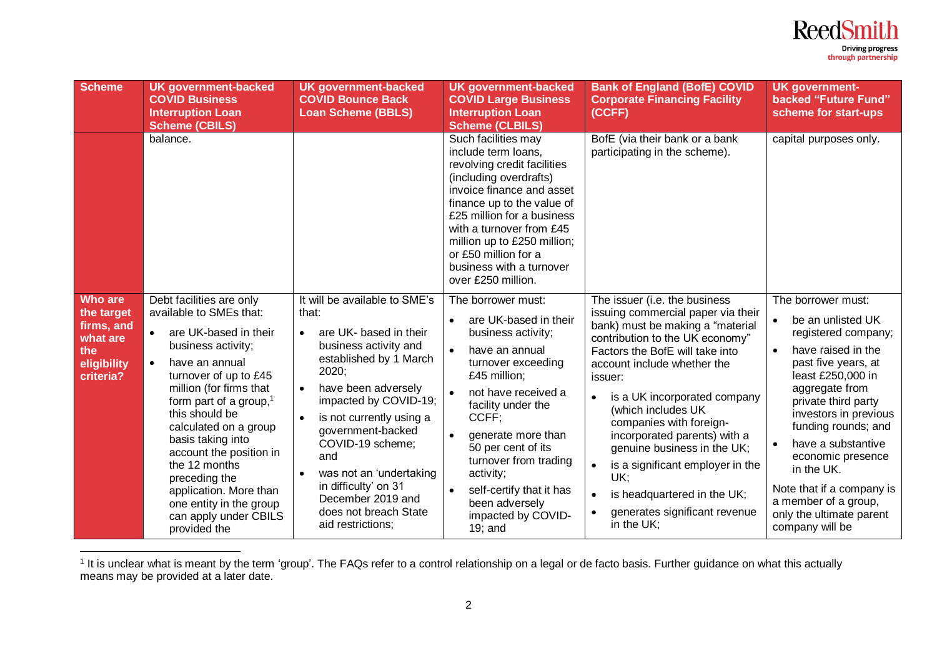

 $\overline{a}$ <sup>1</sup> It is unclear what is meant by the term 'group'. The FAQs refer to a control relationship on a legal or de facto basis. Further guidance on what this actually means may be provided at a later date.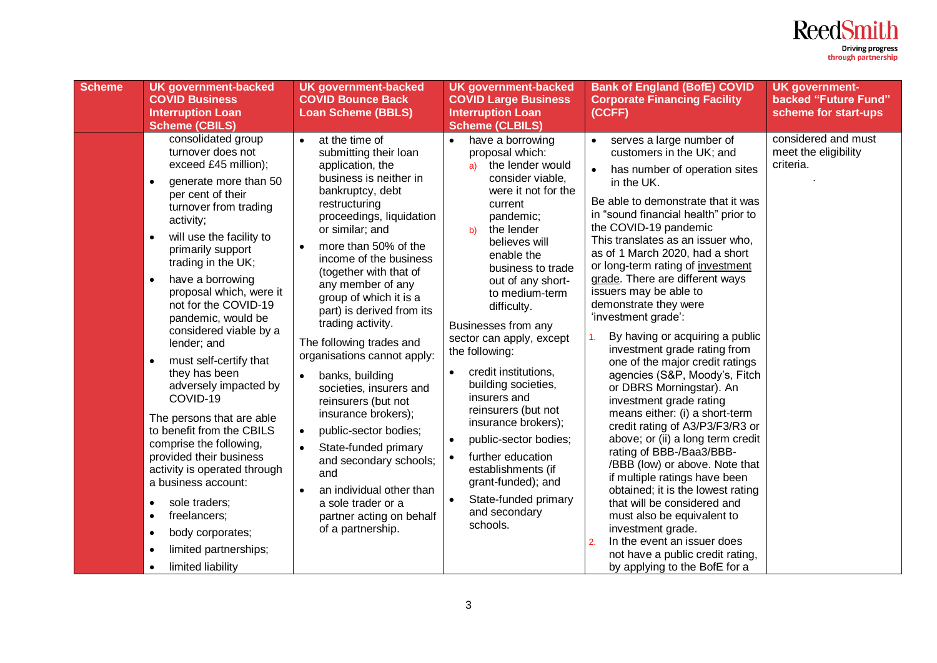

| <b>Scheme</b> | <b>UK government-backed</b><br><b>COVID Business</b><br><b>Interruption Loan</b><br><b>Scheme (CBILS)</b>                                                                                                                                                                                                                                                                                                                                                                                                                                                                                                                                                                                                                                                                                                                          | <b>UK government-backed</b><br><b>COVID Bounce Back</b><br><b>Loan Scheme (BBLS)</b>                                                                                                                                                                                                                                                                                                                                                                                                                                                                                                                                                                                                                                                                                             | <b>UK government-backed</b><br><b>COVID Large Business</b><br><b>Interruption Loan</b><br><b>Scheme (CLBILS)</b>                                                                                                                                                                                                                                                                                                                                                                                                                                                                                                          | <b>Bank of England (BofE) COVID</b><br><b>Corporate Financing Facility</b><br>(CCFF)                                                                                                                                                                                                                                                                                                                                                                                                                                                                                                                                                                                                                                                                                                                                                                                                                                                                                                                                                                                                                                    | <b>UK government-</b><br>backed "Future Fund"<br>scheme for start-ups |
|---------------|------------------------------------------------------------------------------------------------------------------------------------------------------------------------------------------------------------------------------------------------------------------------------------------------------------------------------------------------------------------------------------------------------------------------------------------------------------------------------------------------------------------------------------------------------------------------------------------------------------------------------------------------------------------------------------------------------------------------------------------------------------------------------------------------------------------------------------|----------------------------------------------------------------------------------------------------------------------------------------------------------------------------------------------------------------------------------------------------------------------------------------------------------------------------------------------------------------------------------------------------------------------------------------------------------------------------------------------------------------------------------------------------------------------------------------------------------------------------------------------------------------------------------------------------------------------------------------------------------------------------------|---------------------------------------------------------------------------------------------------------------------------------------------------------------------------------------------------------------------------------------------------------------------------------------------------------------------------------------------------------------------------------------------------------------------------------------------------------------------------------------------------------------------------------------------------------------------------------------------------------------------------|-------------------------------------------------------------------------------------------------------------------------------------------------------------------------------------------------------------------------------------------------------------------------------------------------------------------------------------------------------------------------------------------------------------------------------------------------------------------------------------------------------------------------------------------------------------------------------------------------------------------------------------------------------------------------------------------------------------------------------------------------------------------------------------------------------------------------------------------------------------------------------------------------------------------------------------------------------------------------------------------------------------------------------------------------------------------------------------------------------------------------|-----------------------------------------------------------------------|
|               | consolidated group<br>turnover does not<br>exceed £45 million);<br>generate more than 50<br>$\bullet$<br>per cent of their<br>turnover from trading<br>activity;<br>will use the facility to<br>$\bullet$<br>primarily support<br>trading in the UK;<br>have a borrowing<br>$\bullet$<br>proposal which, were it<br>not for the COVID-19<br>pandemic, would be<br>considered viable by a<br>lender; and<br>must self-certify that<br>$\bullet$<br>they has been<br>adversely impacted by<br>COVID-19<br>The persons that are able<br>to benefit from the CBILS<br>comprise the following,<br>provided their business<br>activity is operated through<br>a business account:<br>sole traders;<br>$\bullet$<br>freelancers;<br>$\bullet$<br>body corporates;<br>$\bullet$<br>limited partnerships;<br>$\bullet$<br>limited liability | at the time of<br>$\bullet$<br>submitting their loan<br>application, the<br>business is neither in<br>bankruptcy, debt<br>restructuring<br>proceedings, liquidation<br>or similar; and<br>more than 50% of the<br>$\bullet$<br>income of the business<br>(together with that of<br>any member of any<br>group of which it is a<br>part) is derived from its<br>trading activity.<br>The following trades and<br>organisations cannot apply:<br>banks, building<br>$\bullet$<br>societies, insurers and<br>reinsurers (but not<br>insurance brokers);<br>public-sector bodies;<br>$\bullet$<br>State-funded primary<br>$\bullet$<br>and secondary schools;<br>and<br>an individual other than<br>$\bullet$<br>a sole trader or a<br>partner acting on behalf<br>of a partnership. | have a borrowing<br>proposal which:<br>the lender would<br>a)<br>consider viable,<br>were it not for the<br>current<br>pandemic;<br>the lender<br>b)<br>believes will<br>enable the<br>business to trade<br>out of any short-<br>to medium-term<br>difficulty.<br>Businesses from any<br>sector can apply, except<br>the following:<br>credit institutions,<br>building societies,<br>insurers and<br>reinsurers (but not<br>insurance brokers);<br>public-sector bodies;<br>further education<br>$\bullet$<br>establishments (if<br>grant-funded); and<br>State-funded primary<br>$\bullet$<br>and secondary<br>schools. | serves a large number of<br>$\bullet$<br>customers in the UK; and<br>has number of operation sites<br>in the UK.<br>Be able to demonstrate that it was<br>in "sound financial health" prior to<br>the COVID-19 pandemic<br>This translates as an issuer who,<br>as of 1 March 2020, had a short<br>or long-term rating of investment<br>grade. There are different ways<br>issuers may be able to<br>demonstrate they were<br>'investment grade':<br>By having or acquiring a public<br>$\mathbf{1}$ .<br>investment grade rating from<br>one of the major credit ratings<br>agencies (S&P, Moody's, Fitch<br>or DBRS Morningstar). An<br>investment grade rating<br>means either: (i) a short-term<br>credit rating of A3/P3/F3/R3 or<br>above; or (ii) a long term credit<br>rating of BBB-/Baa3/BBB-<br>/BBB (low) or above. Note that<br>if multiple ratings have been<br>obtained; it is the lowest rating<br>that will be considered and<br>must also be equivalent to<br>investment grade.<br>In the event an issuer does<br>$\overline{2}$<br>not have a public credit rating,<br>by applying to the BofE for a | considered and must<br>meet the eligibility<br>criteria.              |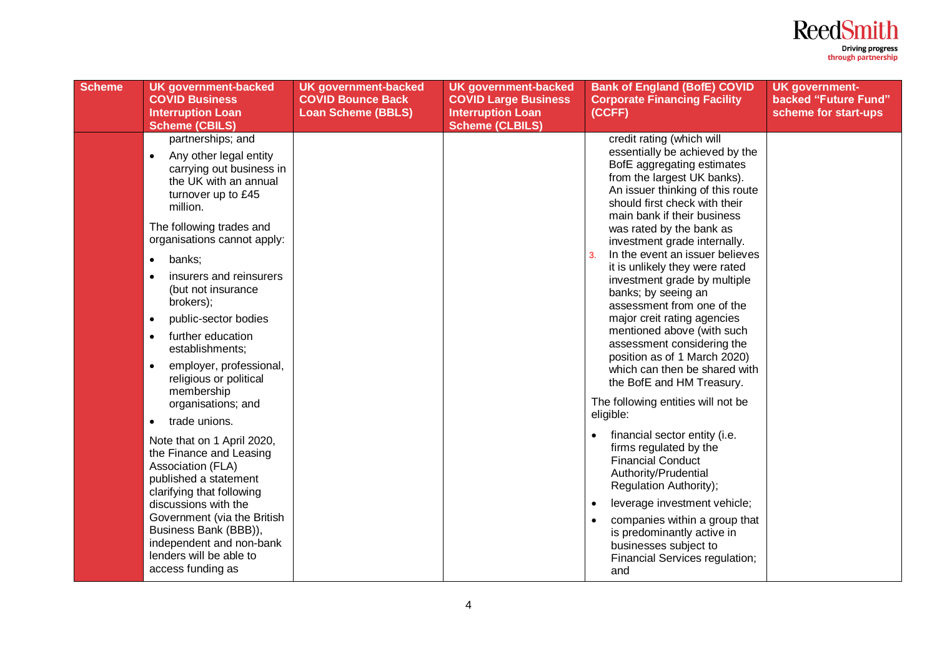

| <b>Scheme</b> | <b>UK government-backed</b><br><b>COVID Business</b><br><b>Interruption Loan</b><br><b>Scheme (CBILS)</b>                                                                                                                                                                                                                                                                                                                                                         | <b>UK government-backed</b><br><b>COVID Bounce Back</b><br><b>Loan Scheme (BBLS)</b> | <b>UK government-backed</b><br><b>COVID Large Business</b><br><b>Interruption Loan</b><br><b>Scheme (CLBILS)</b> | <b>Bank of England (BofE) COVID</b><br><b>Corporate Financing Facility</b><br>(CCFF)                                                                                                                                                                                                                                                                                                                                                                                                                                                                                                                                                                                                                | <b>UK government-</b><br>backed "Future Fund"<br>scheme for start-ups |
|---------------|-------------------------------------------------------------------------------------------------------------------------------------------------------------------------------------------------------------------------------------------------------------------------------------------------------------------------------------------------------------------------------------------------------------------------------------------------------------------|--------------------------------------------------------------------------------------|------------------------------------------------------------------------------------------------------------------|-----------------------------------------------------------------------------------------------------------------------------------------------------------------------------------------------------------------------------------------------------------------------------------------------------------------------------------------------------------------------------------------------------------------------------------------------------------------------------------------------------------------------------------------------------------------------------------------------------------------------------------------------------------------------------------------------------|-----------------------------------------------------------------------|
|               | partnerships; and<br>Any other legal entity<br>$\bullet$<br>carrying out business in<br>the UK with an annual<br>turnover up to £45<br>million.<br>The following trades and<br>organisations cannot apply:<br>banks:<br>٠<br>insurers and reinsurers<br>(but not insurance<br>brokers);<br>public-sector bodies<br>$\bullet$<br>further education<br>$\bullet$<br>establishments;<br>employer, professional,<br>$\bullet$<br>religious or political<br>membership |                                                                                      |                                                                                                                  | credit rating (which will<br>essentially be achieved by the<br>BofE aggregating estimates<br>from the largest UK banks).<br>An issuer thinking of this route<br>should first check with their<br>main bank if their business<br>was rated by the bank as<br>investment grade internally.<br>In the event an issuer believes<br>$\overline{3}$<br>it is unlikely they were rated<br>investment grade by multiple<br>banks; by seeing an<br>assessment from one of the<br>major creit rating agencies<br>mentioned above (with such<br>assessment considering the<br>position as of 1 March 2020)<br>which can then be shared with<br>the BofE and HM Treasury.<br>The following entities will not be |                                                                       |
|               | organisations; and<br>trade unions.<br>$\bullet$                                                                                                                                                                                                                                                                                                                                                                                                                  |                                                                                      |                                                                                                                  | eligible:                                                                                                                                                                                                                                                                                                                                                                                                                                                                                                                                                                                                                                                                                           |                                                                       |
|               | Note that on 1 April 2020,<br>the Finance and Leasing<br>Association (FLA)<br>published a statement<br>clarifying that following                                                                                                                                                                                                                                                                                                                                  |                                                                                      |                                                                                                                  | financial sector entity (i.e.<br>firms regulated by the<br><b>Financial Conduct</b><br>Authority/Prudential<br>Regulation Authority);                                                                                                                                                                                                                                                                                                                                                                                                                                                                                                                                                               |                                                                       |
|               | discussions with the<br>Government (via the British<br>Business Bank (BBB)),<br>independent and non-bank<br>lenders will be able to<br>access funding as                                                                                                                                                                                                                                                                                                          |                                                                                      |                                                                                                                  | leverage investment vehicle;<br>companies within a group that<br>is predominantly active in<br>businesses subject to<br>Financial Services regulation;<br>and                                                                                                                                                                                                                                                                                                                                                                                                                                                                                                                                       |                                                                       |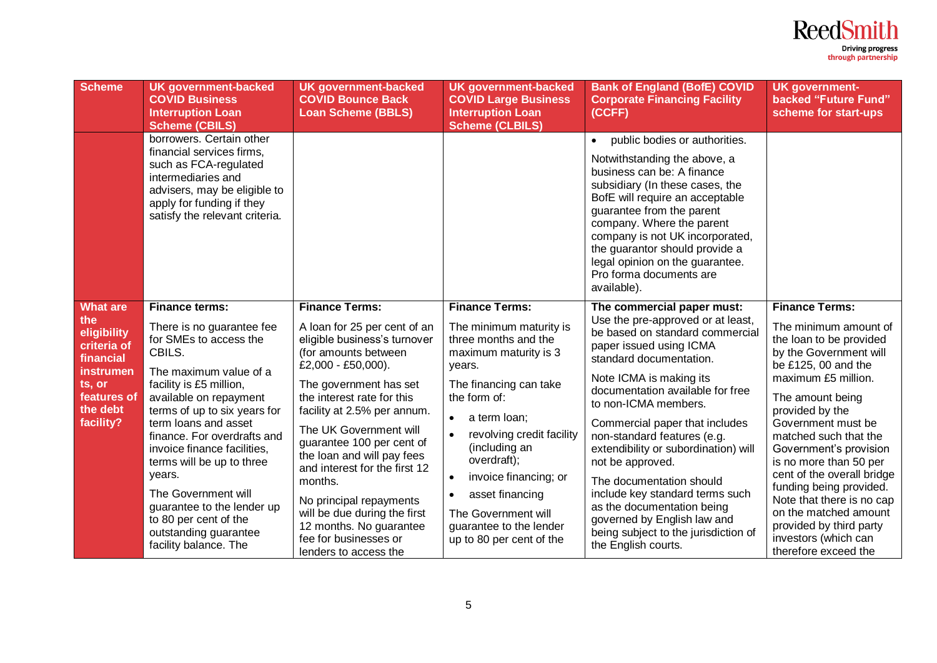

| <b>Scheme</b>                                                                                                             | <b>UK government-backed</b><br><b>COVID Business</b><br><b>Interruption Loan</b><br><b>Scheme (CBILS)</b>                                                                                                                                                                                                                                                                                                                                                          | <b>UK government-backed</b><br><b>COVID Bounce Back</b><br><b>Loan Scheme (BBLS)</b>                                                                                                                                                                                                                                                                                                                                                                                                                | <b>UK government-backed</b><br><b>COVID Large Business</b><br><b>Interruption Loan</b><br><b>Scheme (CLBILS)</b>                                                                                                                                                                                                                                                          | <b>Bank of England (BofE) COVID</b><br><b>Corporate Financing Facility</b><br>(CCFF)                                                                                                                                                                                                                                                                                                                                                                                                                                                                                    | <b>UK government-</b><br>backed "Future Fund"<br>scheme for start-ups                                                                                                                                                                                                                                                                                                                                                                                                                 |
|---------------------------------------------------------------------------------------------------------------------------|--------------------------------------------------------------------------------------------------------------------------------------------------------------------------------------------------------------------------------------------------------------------------------------------------------------------------------------------------------------------------------------------------------------------------------------------------------------------|-----------------------------------------------------------------------------------------------------------------------------------------------------------------------------------------------------------------------------------------------------------------------------------------------------------------------------------------------------------------------------------------------------------------------------------------------------------------------------------------------------|---------------------------------------------------------------------------------------------------------------------------------------------------------------------------------------------------------------------------------------------------------------------------------------------------------------------------------------------------------------------------|-------------------------------------------------------------------------------------------------------------------------------------------------------------------------------------------------------------------------------------------------------------------------------------------------------------------------------------------------------------------------------------------------------------------------------------------------------------------------------------------------------------------------------------------------------------------------|---------------------------------------------------------------------------------------------------------------------------------------------------------------------------------------------------------------------------------------------------------------------------------------------------------------------------------------------------------------------------------------------------------------------------------------------------------------------------------------|
|                                                                                                                           | borrowers. Certain other<br>financial services firms,<br>such as FCA-regulated<br>intermediaries and<br>advisers, may be eligible to<br>apply for funding if they<br>satisfy the relevant criteria.                                                                                                                                                                                                                                                                |                                                                                                                                                                                                                                                                                                                                                                                                                                                                                                     |                                                                                                                                                                                                                                                                                                                                                                           | public bodies or authorities.<br>Notwithstanding the above, a<br>business can be: A finance<br>subsidiary (In these cases, the<br>BofE will require an acceptable<br>guarantee from the parent<br>company. Where the parent<br>company is not UK incorporated,<br>the guarantor should provide a<br>legal opinion on the guarantee.<br>Pro forma documents are<br>available).                                                                                                                                                                                           |                                                                                                                                                                                                                                                                                                                                                                                                                                                                                       |
| What are<br>the<br>eligibility<br>criteria of<br>financial<br>instrumen<br>ts, or<br>features of<br>the debt<br>facility? | <b>Finance terms:</b><br>There is no guarantee fee<br>for SMEs to access the<br>CBILS.<br>The maximum value of a<br>facility is £5 million,<br>available on repayment<br>terms of up to six years for<br>term loans and asset<br>finance. For overdrafts and<br>invoice finance facilities,<br>terms will be up to three<br>years.<br>The Government will<br>guarantee to the lender up<br>to 80 per cent of the<br>outstanding guarantee<br>facility balance. The | <b>Finance Terms:</b><br>A loan for 25 per cent of an<br>eligible business's turnover<br>(for amounts between<br>£2,000 - £50,000).<br>The government has set<br>the interest rate for this<br>facility at 2.5% per annum.<br>The UK Government will<br>guarantee 100 per cent of<br>the loan and will pay fees<br>and interest for the first 12<br>months.<br>No principal repayments<br>will be due during the first<br>12 months. No guarantee<br>fee for businesses or<br>lenders to access the | <b>Finance Terms:</b><br>The minimum maturity is<br>three months and the<br>maximum maturity is 3<br>years.<br>The financing can take<br>the form of:<br>a term loan;<br>$\bullet$<br>revolving credit facility<br>(including an<br>overdraft);<br>invoice financing; or<br>asset financing<br>The Government will<br>guarantee to the lender<br>up to 80 per cent of the | The commercial paper must:<br>Use the pre-approved or at least,<br>be based on standard commercial<br>paper issued using ICMA<br>standard documentation.<br>Note ICMA is making its<br>documentation available for free<br>to non-ICMA members.<br>Commercial paper that includes<br>non-standard features (e.g.<br>extendibility or subordination) will<br>not be approved.<br>The documentation should<br>include key standard terms such<br>as the documentation being<br>governed by English law and<br>being subject to the jurisdiction of<br>the English courts. | <b>Finance Terms:</b><br>The minimum amount of<br>the loan to be provided<br>by the Government will<br>be £125, 00 and the<br>maximum £5 million.<br>The amount being<br>provided by the<br>Government must be<br>matched such that the<br>Government's provision<br>is no more than 50 per<br>cent of the overall bridge<br>funding being provided.<br>Note that there is no cap<br>on the matched amount<br>provided by third party<br>investors (which can<br>therefore exceed the |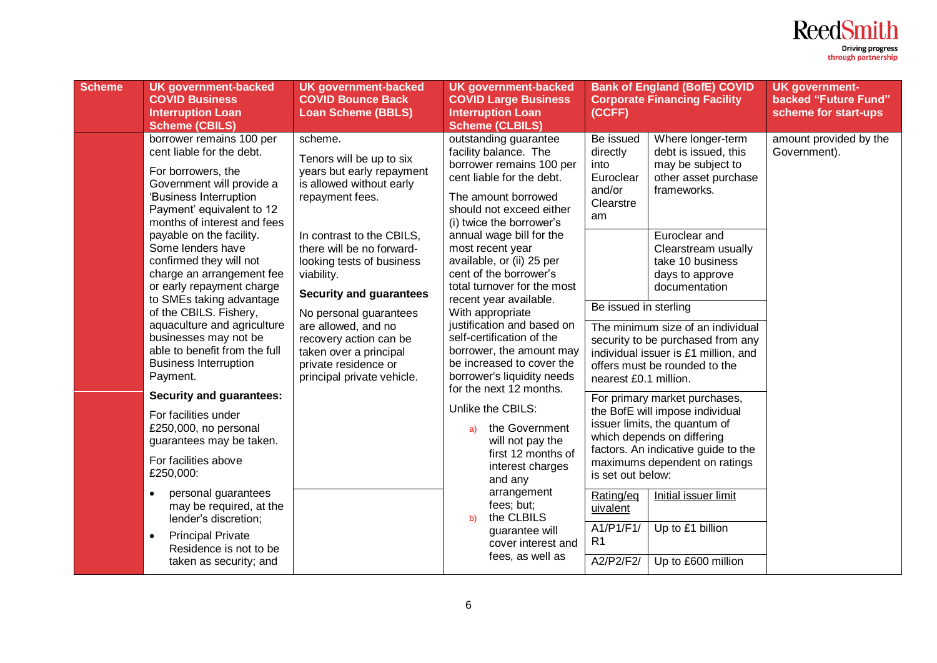

| <b>Scheme</b> | <b>UK government-backed</b><br><b>COVID Business</b><br><b>Interruption Loan</b><br><b>Scheme (CBILS)</b>                                                                                                                                | <b>UK government-backed</b><br><b>COVID Bounce Back</b><br><b>Loan Scheme (BBLS)</b>                                                                                                                                                                                                                                                                                                                              |                                                                                                                                                                                                                                                                                                                              | <b>UK government-backed</b><br><b>COVID Large Business</b><br><b>Interruption Loan</b><br><b>Scheme (CLBILS)</b>                                                                             | (CCFF)                                                                                                | <b>Bank of England (BofE) COVID</b><br><b>Corporate Financing Facility</b>                                                                                                                                                                          | <b>UK government-</b><br>backed "Future Fund"<br>scheme for start-ups |
|---------------|------------------------------------------------------------------------------------------------------------------------------------------------------------------------------------------------------------------------------------------|-------------------------------------------------------------------------------------------------------------------------------------------------------------------------------------------------------------------------------------------------------------------------------------------------------------------------------------------------------------------------------------------------------------------|------------------------------------------------------------------------------------------------------------------------------------------------------------------------------------------------------------------------------------------------------------------------------------------------------------------------------|----------------------------------------------------------------------------------------------------------------------------------------------------------------------------------------------|-------------------------------------------------------------------------------------------------------|-----------------------------------------------------------------------------------------------------------------------------------------------------------------------------------------------------------------------------------------------------|-----------------------------------------------------------------------|
|               | borrower remains 100 per<br>cent liable for the debt.<br>For borrowers, the<br>Government will provide a<br>'Business Interruption<br>Payment' equivalent to 12<br>months of interest and fees                                           | scheme.<br>Tenors will be up to six<br>years but early repayment<br>is allowed without early<br>repayment fees.<br>In contrast to the CBILS,<br>there will be no forward-<br>looking tests of business<br>viability.<br><b>Security and guarantees</b><br>No personal guarantees<br>are allowed, and no<br>recovery action can be<br>taken over a principal<br>private residence or<br>principal private vehicle. | outstanding guarantee<br>facility balance. The<br>borrower remains 100 per<br>cent liable for the debt.<br>The amount borrowed<br>should not exceed either<br>(i) twice the borrower's<br>annual wage bill for the<br>most recent year<br>available, or (ii) 25 per<br>cent of the borrower's<br>total turnover for the most | Be issued<br>directly<br>into<br>Euroclear<br>and/or<br>Clearstre<br>am                                                                                                                      | Where longer-term<br>debt is issued, this<br>may be subject to<br>other asset purchase<br>frameworks. | amount provided by the<br>Government).                                                                                                                                                                                                              |                                                                       |
|               | payable on the facility.<br>Some lenders have<br>confirmed they will not<br>charge an arrangement fee<br>or early repayment charge<br>to SMEs taking advantage                                                                           |                                                                                                                                                                                                                                                                                                                                                                                                                   |                                                                                                                                                                                                                                                                                                                              | recent year available.<br>With appropriate<br>justification and based on<br>self-certification of the<br>borrower, the amount may<br>be increased to cover the<br>borrower's liquidity needs |                                                                                                       | Euroclear and<br>Clearstream usually<br>take 10 business<br>days to approve<br>documentation                                                                                                                                                        |                                                                       |
|               | of the CBILS. Fishery,<br>aquaculture and agriculture<br>businesses may not be<br>able to benefit from the full<br><b>Business Interruption</b><br>Payment.                                                                              |                                                                                                                                                                                                                                                                                                                                                                                                                   |                                                                                                                                                                                                                                                                                                                              |                                                                                                                                                                                              | Be issued in sterling<br>nearest £0.1 million.                                                        | The minimum size of an individual<br>security to be purchased from any<br>individual issuer is £1 million, and<br>offers must be rounded to the                                                                                                     |                                                                       |
|               | <b>Security and guarantees:</b><br>For facilities under<br>£250,000, no personal<br>guarantees may be taken.<br>For facilities above<br>£250,000:<br>personal guarantees<br>$\bullet$<br>may be required, at the<br>lender's discretion; |                                                                                                                                                                                                                                                                                                                                                                                                                   | a)<br>b)                                                                                                                                                                                                                                                                                                                     | for the next 12 months.<br>Unlike the CBILS:<br>the Government<br>will not pay the<br>first 12 months of<br>interest charges<br>and any<br>arrangement<br>fees; but;<br>the CLBILS           | is set out below:<br>Rating/eq<br>uivalent<br>A1/P1/F1/                                               | For primary market purchases,<br>the BofE will impose individual<br>issuer limits, the quantum of<br>which depends on differing<br>factors. An indicative guide to the<br>maximums dependent on ratings<br>Initial issuer limit<br>Up to £1 billion |                                                                       |
|               | <b>Principal Private</b><br>$\bullet$<br>Residence is not to be<br>taken as security; and                                                                                                                                                |                                                                                                                                                                                                                                                                                                                                                                                                                   |                                                                                                                                                                                                                                                                                                                              | guarantee will<br>cover interest and<br>fees, as well as                                                                                                                                     | R <sub>1</sub><br>A2/P2/F2/                                                                           | Up to £600 million                                                                                                                                                                                                                                  |                                                                       |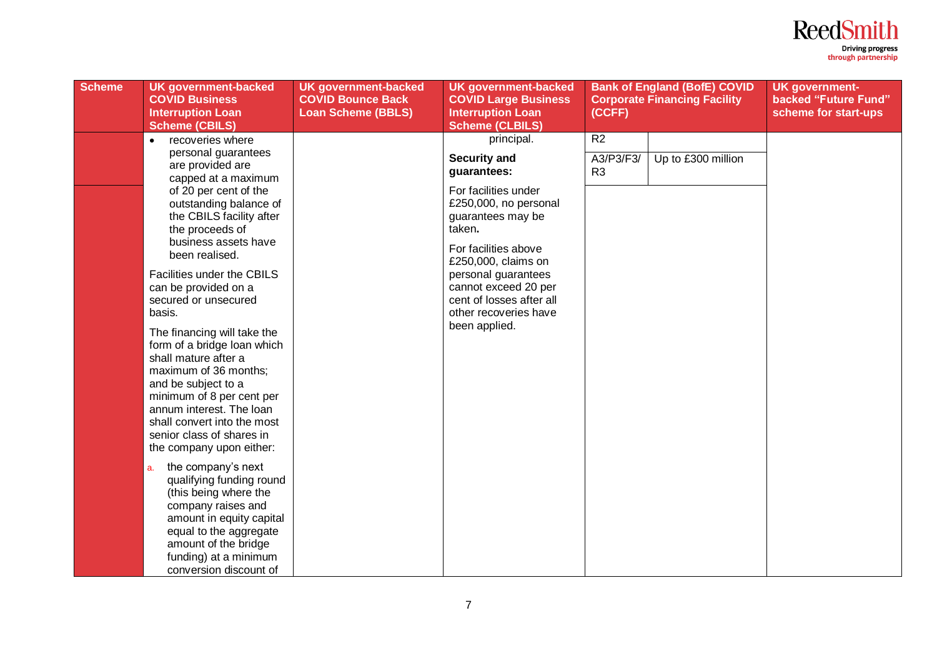

| <b>Scheme</b> | <b>UK government-backed</b><br><b>COVID Business</b><br><b>Interruption Loan</b><br><b>Scheme (CBILS)</b>                                                                                                                                                                           | <b>UK government-backed</b><br><b>COVID Bounce Back</b><br><b>Loan Scheme (BBLS)</b> | <b>UK government-backed</b><br><b>COVID Large Business</b><br><b>Interruption Loan</b><br><b>Scheme (CLBILS)</b>            | (CCFF)                      | <b>Bank of England (BofE) COVID</b><br><b>Corporate Financing Facility</b> | <b>UK government-</b><br>backed "Future Fund"<br>scheme for start-ups |
|---------------|-------------------------------------------------------------------------------------------------------------------------------------------------------------------------------------------------------------------------------------------------------------------------------------|--------------------------------------------------------------------------------------|-----------------------------------------------------------------------------------------------------------------------------|-----------------------------|----------------------------------------------------------------------------|-----------------------------------------------------------------------|
|               | recoveries where<br>$\bullet$                                                                                                                                                                                                                                                       |                                                                                      | principal.                                                                                                                  | R2                          |                                                                            |                                                                       |
|               | personal guarantees<br>are provided are<br>capped at a maximum                                                                                                                                                                                                                      |                                                                                      | <b>Security and</b><br>guarantees:                                                                                          | A3/P3/F3/<br>R <sub>3</sub> | Up to £300 million                                                         |                                                                       |
|               | of 20 per cent of the<br>outstanding balance of<br>the CBILS facility after<br>the proceeds of<br>business assets have<br>been realised.                                                                                                                                            |                                                                                      | For facilities under<br>£250,000, no personal<br>guarantees may be<br>taken.<br>For facilities above<br>£250,000, claims on |                             |                                                                            |                                                                       |
|               | Facilities under the CBILS<br>can be provided on a<br>secured or unsecured<br>basis.                                                                                                                                                                                                |                                                                                      | personal guarantees<br>cannot exceed 20 per<br>cent of losses after all<br>other recoveries have                            |                             |                                                                            |                                                                       |
|               | The financing will take the<br>form of a bridge loan which<br>shall mature after a<br>maximum of 36 months;<br>and be subject to a<br>minimum of 8 per cent per<br>annum interest. The loan<br>shall convert into the most<br>senior class of shares in<br>the company upon either: |                                                                                      | been applied.                                                                                                               |                             |                                                                            |                                                                       |
|               | the company's next<br>a.<br>qualifying funding round<br>(this being where the<br>company raises and<br>amount in equity capital<br>equal to the aggregate<br>amount of the bridge<br>funding) at a minimum<br>conversion discount of                                                |                                                                                      |                                                                                                                             |                             |                                                                            |                                                                       |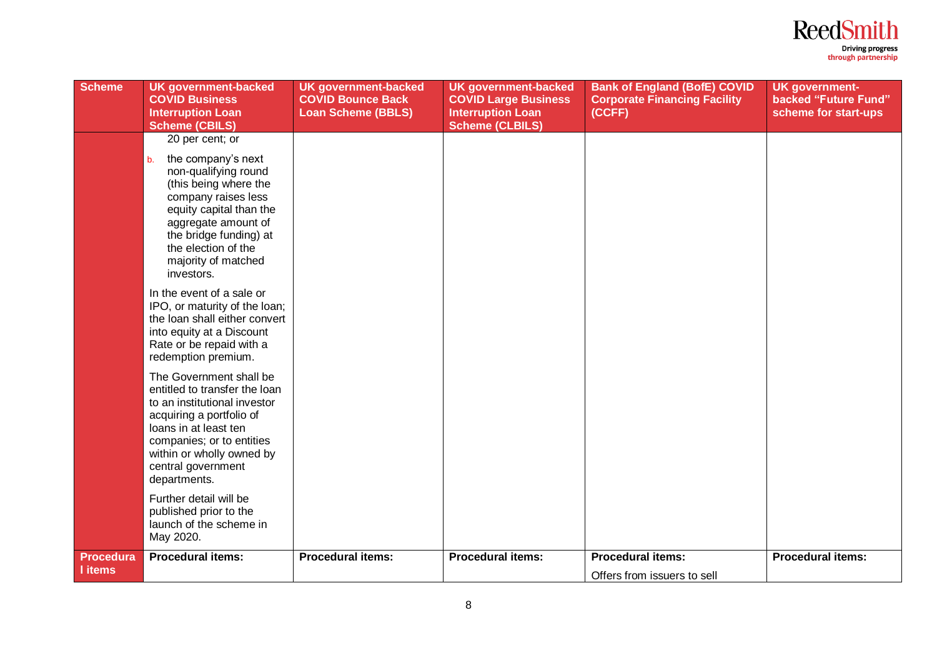

| <b>Scheme</b>               | <b>UK government-backed</b><br><b>COVID Business</b><br><b>Interruption Loan</b><br><b>Scheme (CBILS)</b>                                                                                                                                                   | <b>UK government-backed</b><br><b>COVID Bounce Back</b><br><b>Loan Scheme (BBLS)</b> | <b>UK</b> government-backed<br><b>COVID Large Business</b><br><b>Interruption Loan</b><br><b>Scheme (CLBILS)</b> | <b>Bank of England (BofE) COVID</b><br><b>Corporate Financing Facility</b><br>(CCFF) | <b>UK government-</b><br>backed "Future Fund"<br>scheme for start-ups |
|-----------------------------|-------------------------------------------------------------------------------------------------------------------------------------------------------------------------------------------------------------------------------------------------------------|--------------------------------------------------------------------------------------|------------------------------------------------------------------------------------------------------------------|--------------------------------------------------------------------------------------|-----------------------------------------------------------------------|
|                             | 20 per cent; or<br>the company's next<br>b.<br>non-qualifying round<br>(this being where the<br>company raises less<br>equity capital than the<br>aggregate amount of<br>the bridge funding) at<br>the election of the<br>majority of matched<br>investors. |                                                                                      |                                                                                                                  |                                                                                      |                                                                       |
|                             | In the event of a sale or<br>IPO, or maturity of the loan;<br>the loan shall either convert<br>into equity at a Discount<br>Rate or be repaid with a<br>redemption premium.                                                                                 |                                                                                      |                                                                                                                  |                                                                                      |                                                                       |
|                             | The Government shall be<br>entitled to transfer the loan<br>to an institutional investor<br>acquiring a portfolio of<br>loans in at least ten<br>companies; or to entities<br>within or wholly owned by<br>central government<br>departments.               |                                                                                      |                                                                                                                  |                                                                                      |                                                                       |
|                             | Further detail will be<br>published prior to the<br>launch of the scheme in<br>May 2020.                                                                                                                                                                    |                                                                                      |                                                                                                                  |                                                                                      |                                                                       |
| <b>Procedura</b><br>I items | <b>Procedural items:</b>                                                                                                                                                                                                                                    | <b>Procedural items:</b>                                                             | <b>Procedural items:</b>                                                                                         | <b>Procedural items:</b><br>Offers from issuers to sell                              | <b>Procedural items:</b>                                              |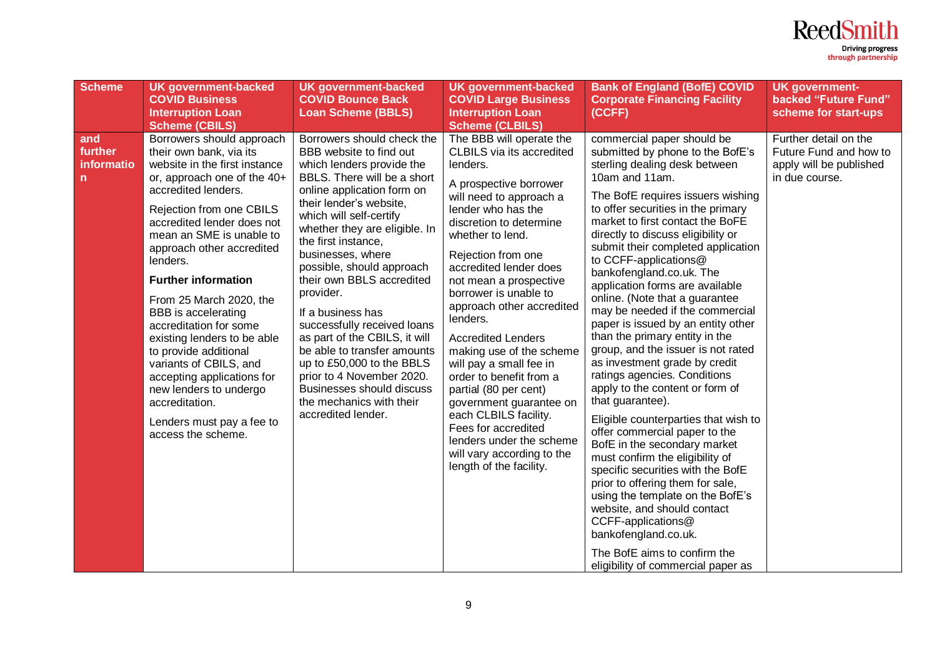

| <b>Scheme</b>                     | <b>UK government-backed</b><br><b>COVID Business</b><br><b>Interruption Loan</b><br><b>Scheme (CBILS)</b>                                                                                                                                                                                                                                                                                                                                                                                                                                                                                           | <b>UK government-backed</b><br><b>COVID Bounce Back</b><br><b>Loan Scheme (BBLS)</b>                                                                                                                                                                                                                                                                                                                                                                                                                                                                                                                                          | <b>UK government-backed</b><br><b>COVID Large Business</b><br><b>Interruption Loan</b><br><b>Scheme (CLBILS)</b>                                                                                                                                                                                                                                                                                                                                                                                                                                                                                                                                       | <b>Bank of England (BofE) COVID</b><br><b>Corporate Financing Facility</b><br>(CCFF)                                                                                                                                                                                                                                                                                                                                                                                                                                                                                                                                                                                                                                                                                                                                                                                                                                                                                                                                                                                                                                        | <b>UK government-</b><br>backed "Future Fund"<br>scheme for start-ups                        |
|-----------------------------------|-----------------------------------------------------------------------------------------------------------------------------------------------------------------------------------------------------------------------------------------------------------------------------------------------------------------------------------------------------------------------------------------------------------------------------------------------------------------------------------------------------------------------------------------------------------------------------------------------------|-------------------------------------------------------------------------------------------------------------------------------------------------------------------------------------------------------------------------------------------------------------------------------------------------------------------------------------------------------------------------------------------------------------------------------------------------------------------------------------------------------------------------------------------------------------------------------------------------------------------------------|--------------------------------------------------------------------------------------------------------------------------------------------------------------------------------------------------------------------------------------------------------------------------------------------------------------------------------------------------------------------------------------------------------------------------------------------------------------------------------------------------------------------------------------------------------------------------------------------------------------------------------------------------------|-----------------------------------------------------------------------------------------------------------------------------------------------------------------------------------------------------------------------------------------------------------------------------------------------------------------------------------------------------------------------------------------------------------------------------------------------------------------------------------------------------------------------------------------------------------------------------------------------------------------------------------------------------------------------------------------------------------------------------------------------------------------------------------------------------------------------------------------------------------------------------------------------------------------------------------------------------------------------------------------------------------------------------------------------------------------------------------------------------------------------------|----------------------------------------------------------------------------------------------|
| and<br>further<br>informatio<br>n | Borrowers should approach<br>their own bank, via its<br>website in the first instance<br>or, approach one of the 40+<br>accredited lenders.<br>Rejection from one CBILS<br>accredited lender does not<br>mean an SME is unable to<br>approach other accredited<br>lenders.<br><b>Further information</b><br>From 25 March 2020, the<br>BBB is accelerating<br>accreditation for some<br>existing lenders to be able<br>to provide additional<br>variants of CBILS, and<br>accepting applications for<br>new lenders to undergo<br>accreditation.<br>Lenders must pay a fee to<br>access the scheme. | Borrowers should check the<br>BBB website to find out<br>which lenders provide the<br>BBLS. There will be a short<br>online application form on<br>their lender's website,<br>which will self-certify<br>whether they are eligible. In<br>the first instance,<br>businesses, where<br>possible, should approach<br>their own BBLS accredited<br>provider.<br>If a business has<br>successfully received loans<br>as part of the CBILS, it will<br>be able to transfer amounts<br>up to £50,000 to the BBLS<br>prior to 4 November 2020.<br><b>Businesses should discuss</b><br>the mechanics with their<br>accredited lender. | The BBB will operate the<br><b>CLBILS</b> via its accredited<br>lenders.<br>A prospective borrower<br>will need to approach a<br>lender who has the<br>discretion to determine<br>whether to lend.<br>Rejection from one<br>accredited lender does<br>not mean a prospective<br>borrower is unable to<br>approach other accredited<br>lenders.<br><b>Accredited Lenders</b><br>making use of the scheme<br>will pay a small fee in<br>order to benefit from a<br>partial (80 per cent)<br>government guarantee on<br>each CLBILS facility.<br>Fees for accredited<br>lenders under the scheme<br>will vary according to the<br>length of the facility. | commercial paper should be<br>submitted by phone to the BofE's<br>sterling dealing desk between<br>10am and 11am.<br>The BofE requires issuers wishing<br>to offer securities in the primary<br>market to first contact the BoFE<br>directly to discuss eligibility or<br>submit their completed application<br>to CCFF-applications@<br>bankofengland.co.uk. The<br>application forms are available<br>online. (Note that a guarantee<br>may be needed if the commercial<br>paper is issued by an entity other<br>than the primary entity in the<br>group, and the issuer is not rated<br>as investment grade by credit<br>ratings agencies. Conditions<br>apply to the content or form of<br>that guarantee).<br>Eligible counterparties that wish to<br>offer commercial paper to the<br>BofE in the secondary market<br>must confirm the eligibility of<br>specific securities with the BofE<br>prior to offering them for sale,<br>using the template on the BofE's<br>website, and should contact<br>CCFF-applications@<br>bankofengland.co.uk.<br>The BofE aims to confirm the<br>eligibility of commercial paper as | Further detail on the<br>Future Fund and how to<br>apply will be published<br>in due course. |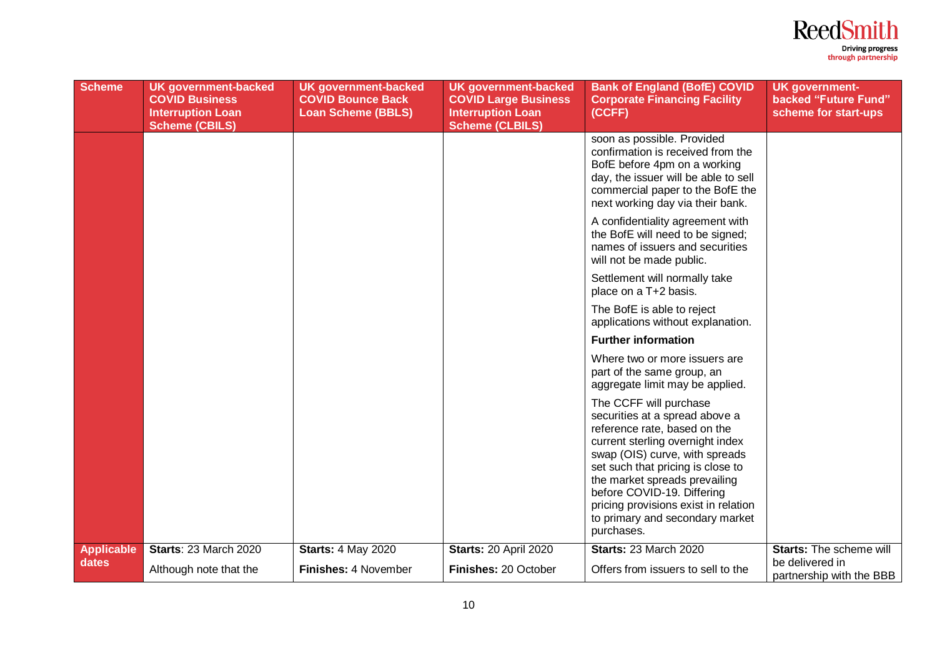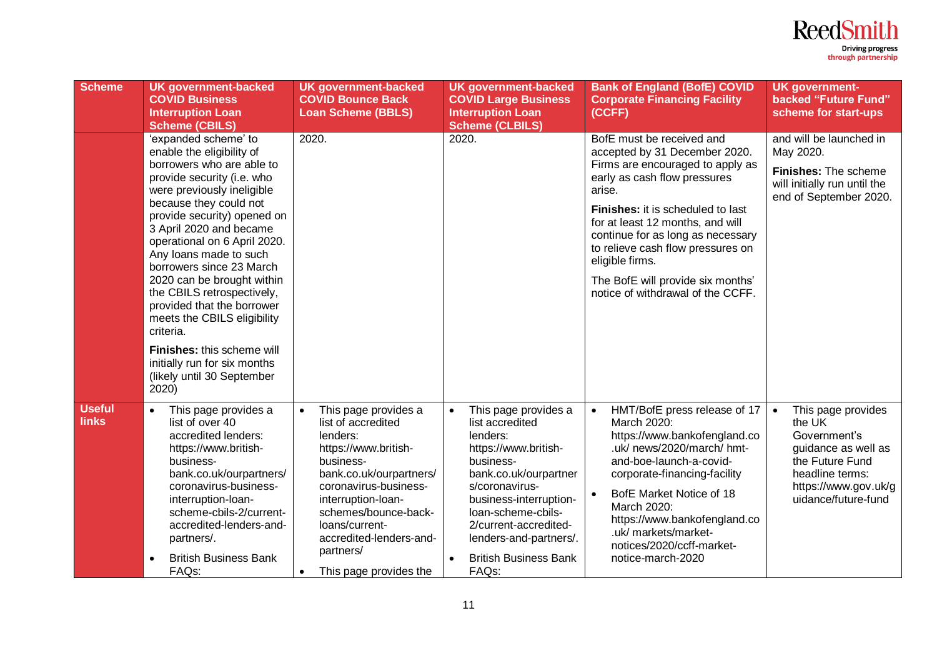![](_page_10_Picture_0.jpeg)

| <b>Scheme</b>                 | <b>UK government-backed</b><br><b>COVID Business</b><br><b>Interruption Loan</b><br><b>Scheme (CBILS)</b>                                                                                                                                                                                                                                                                                                                                                                                                                                                       | <b>UK government-backed</b><br><b>COVID Bounce Back</b><br><b>Loan Scheme (BBLS)</b>                                                                                                                                                                                                                        | <b>UK government-backed</b><br><b>COVID Large Business</b><br><b>Interruption Loan</b><br><b>Scheme (CLBILS)</b>                                                                                                                                                                                          | <b>Bank of England (BofE) COVID</b><br><b>Corporate Financing Facility</b><br>(CCFF)                                                                                                                                                                                                                                                                                                            | <b>UK government-</b><br>backed "Future Fund"<br>scheme for start-ups                                                                                                 |
|-------------------------------|-----------------------------------------------------------------------------------------------------------------------------------------------------------------------------------------------------------------------------------------------------------------------------------------------------------------------------------------------------------------------------------------------------------------------------------------------------------------------------------------------------------------------------------------------------------------|-------------------------------------------------------------------------------------------------------------------------------------------------------------------------------------------------------------------------------------------------------------------------------------------------------------|-----------------------------------------------------------------------------------------------------------------------------------------------------------------------------------------------------------------------------------------------------------------------------------------------------------|-------------------------------------------------------------------------------------------------------------------------------------------------------------------------------------------------------------------------------------------------------------------------------------------------------------------------------------------------------------------------------------------------|-----------------------------------------------------------------------------------------------------------------------------------------------------------------------|
|                               | 'expanded scheme' to<br>enable the eligibility of<br>borrowers who are able to<br>provide security (i.e. who<br>were previously ineligible<br>because they could not<br>provide security) opened on<br>3 April 2020 and became<br>operational on 6 April 2020.<br>Any loans made to such<br>borrowers since 23 March<br>2020 can be brought within<br>the CBILS retrospectively,<br>provided that the borrower<br>meets the CBILS eligibility<br>criteria.<br>Finishes: this scheme will<br>initially run for six months<br>(likely until 30 September<br>2020) | 2020.                                                                                                                                                                                                                                                                                                       | 2020.                                                                                                                                                                                                                                                                                                     | BofE must be received and<br>accepted by 31 December 2020.<br>Firms are encouraged to apply as<br>early as cash flow pressures<br>arise.<br><b>Finishes:</b> it is scheduled to last<br>for at least 12 months, and will<br>continue for as long as necessary<br>to relieve cash flow pressures on<br>eligible firms.<br>The BofE will provide six months'<br>notice of withdrawal of the CCFF. | and will be launched in<br>May 2020.<br>Finishes: The scheme<br>will initially run until the<br>end of September 2020.                                                |
| <b>Useful</b><br><b>links</b> | This page provides a<br>$\bullet$<br>list of over 40<br>accredited lenders:<br>https://www.british-<br>business-<br>bank.co.uk/ourpartners/<br>coronavirus-business-<br>interruption-loan-<br>scheme-cbils-2/current-<br>accredited-lenders-and-<br>partners/.<br><b>British Business Bank</b><br>$\bullet$<br>FAQ <sub>s</sub> :                                                                                                                                                                                                                               | This page provides a<br>$\bullet$<br>list of accredited<br>lenders:<br>https://www.british-<br>business-<br>bank.co.uk/ourpartners/<br>coronavirus-business-<br>interruption-loan-<br>schemes/bounce-back-<br>loans/current-<br>accredited-lenders-and-<br>partners/<br>This page provides the<br>$\bullet$ | This page provides a<br>$\bullet$<br>list accredited<br>lenders:<br>https://www.british-<br>business-<br>bank.co.uk/ourpartner<br>s/coronavirus-<br>business-interruption-<br>loan-scheme-cbils-<br>2/current-accredited-<br>lenders-and-partners/.<br><b>British Business Bank</b><br>FAQ <sub>s</sub> : | HMT/BofE press release of 17<br>March 2020:<br>https://www.bankofengland.co<br>.uk/ news/2020/march/ hmt-<br>and-boe-launch-a-covid-<br>corporate-financing-facility<br>BofE Market Notice of 18<br>March 2020:<br>https://www.bankofengland.co<br>.uk/ markets/market-<br>notices/2020/ccff-market-<br>notice-march-2020                                                                       | This page provides<br>$\bullet$<br>the UK<br>Government's<br>guidance as well as<br>the Future Fund<br>headline terms:<br>https://www.gov.uk/g<br>uidance/future-fund |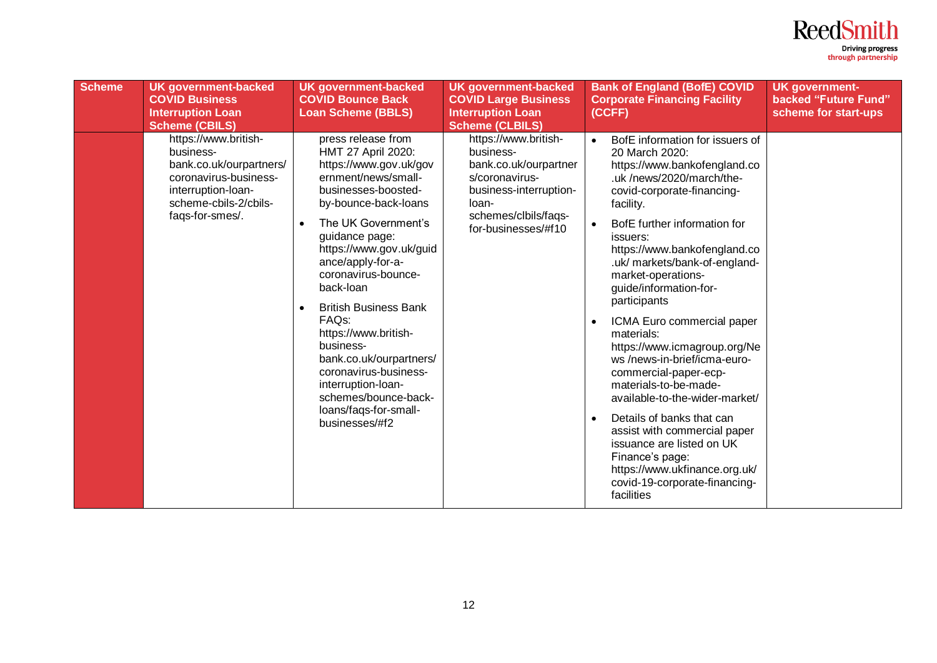![](_page_11_Picture_0.jpeg)

| <b>Scheme</b> | <b>UK government-backed</b><br><b>COVID Business</b><br><b>Interruption Loan</b><br><b>Scheme (CBILS)</b>                                               | <b>UK</b> government-backed<br><b>COVID Bounce Back</b><br><b>Loan Scheme (BBLS)</b>                                                                                                                                                                                                                                                                                                                                                                                                                                                    | <b>UK government-backed</b><br><b>COVID Large Business</b><br><b>Interruption Loan</b><br><b>Scheme (CLBILS)</b>                                               | <b>Bank of England (BofE) COVID</b><br><b>Corporate Financing Facility</b><br>(CCFF)                                                                                                                                                                                                                                                                                                                                                                                                                                                                                                                                                                                                                                                           | <b>UK government-</b><br>backed "Future Fund"<br>scheme for start-ups |
|---------------|---------------------------------------------------------------------------------------------------------------------------------------------------------|-----------------------------------------------------------------------------------------------------------------------------------------------------------------------------------------------------------------------------------------------------------------------------------------------------------------------------------------------------------------------------------------------------------------------------------------------------------------------------------------------------------------------------------------|----------------------------------------------------------------------------------------------------------------------------------------------------------------|------------------------------------------------------------------------------------------------------------------------------------------------------------------------------------------------------------------------------------------------------------------------------------------------------------------------------------------------------------------------------------------------------------------------------------------------------------------------------------------------------------------------------------------------------------------------------------------------------------------------------------------------------------------------------------------------------------------------------------------------|-----------------------------------------------------------------------|
|               | https://www.british-<br>business-<br>bank.co.uk/ourpartners/<br>coronavirus-business-<br>interruption-loan-<br>scheme-cbils-2/cbils-<br>faqs-for-smes/. | press release from<br>HMT 27 April 2020:<br>https://www.gov.uk/gov<br>ernment/news/small-<br>businesses-boosted-<br>by-bounce-back-loans<br>The UK Government's<br>$\bullet$<br>guidance page:<br>https://www.gov.uk/guid<br>ance/apply-for-a-<br>coronavirus-bounce-<br>back-loan<br><b>British Business Bank</b><br>$\bullet$<br>FAQ <sub>S</sub> :<br>https://www.british-<br>business-<br>bank.co.uk/ourpartners/<br>coronavirus-business-<br>interruption-loan-<br>schemes/bounce-back-<br>loans/faqs-for-small-<br>businesses/#f2 | https://www.british-<br>business-<br>bank.co.uk/ourpartner<br>s/coronavirus-<br>business-interruption-<br>loan-<br>schemes/clbils/faqs-<br>for-businesses/#f10 | BofE information for issuers of<br>$\bullet$<br>20 March 2020:<br>https://www.bankofengland.co<br>.uk/news/2020/march/the-<br>covid-corporate-financing-<br>facility.<br>BofE further information for<br>issuers:<br>https://www.bankofengland.co<br>.uk/ markets/bank-of-england-<br>market-operations-<br>guide/information-for-<br>participants<br>ICMA Euro commercial paper<br>materials:<br>https://www.icmagroup.org/Ne<br>ws/news-in-brief/icma-euro-<br>commercial-paper-ecp-<br>materials-to-be-made-<br>available-to-the-wider-market/<br>Details of banks that can<br>assist with commercial paper<br>issuance are listed on UK<br>Finance's page:<br>https://www.ukfinance.org.uk/<br>covid-19-corporate-financing-<br>facilities |                                                                       |